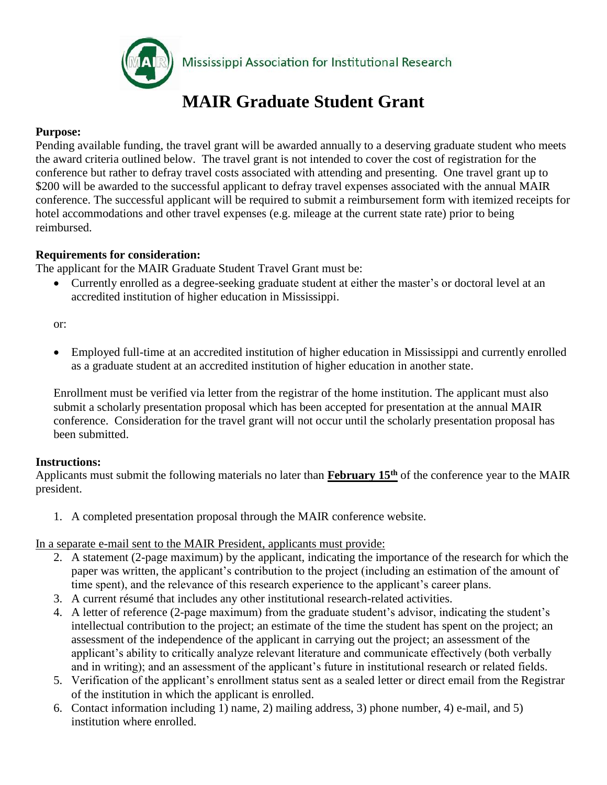

Mississippi Association for Institutional Research

# **MAIR Graduate Student Grant**

## **Purpose:**

Pending available funding, the travel grant will be awarded annually to a deserving graduate student who meets the award criteria outlined below. The travel grant is not intended to cover the cost of registration for the conference but rather to defray travel costs associated with attending and presenting. One travel grant up to \$200 will be awarded to the successful applicant to defray travel expenses associated with the annual MAIR conference. The successful applicant will be required to submit a reimbursement form with itemized receipts for hotel accommodations and other travel expenses (e.g. mileage at the current state rate) prior to being reimbursed.

## **Requirements for consideration:**

The applicant for the MAIR Graduate Student Travel Grant must be:

 Currently enrolled as a degree-seeking graduate student at either the master's or doctoral level at an accredited institution of higher education in Mississippi.

or:

 Employed full-time at an accredited institution of higher education in Mississippi and currently enrolled as a graduate student at an accredited institution of higher education in another state.

Enrollment must be verified via letter from the registrar of the home institution. The applicant must also submit a scholarly presentation proposal which has been accepted for presentation at the annual MAIR conference. Consideration for the travel grant will not occur until the scholarly presentation proposal has been submitted.

## **Instructions:**

Applicants must submit the following materials no later than **February 15th** of the conference year to the MAIR president.

1. A completed presentation proposal through the MAIR conference website.

In a separate e-mail sent to the MAIR President, applicants must provide:

- 2. A statement (2-page maximum) by the applicant, indicating the importance of the research for which the paper was written, the applicant's contribution to the project (including an estimation of the amount of time spent), and the relevance of this research experience to the applicant's career plans.
- 3. A current résumé that includes any other institutional research-related activities.
- 4. A letter of reference (2-page maximum) from the graduate student's advisor, indicating the student's intellectual contribution to the project; an estimate of the time the student has spent on the project; an assessment of the independence of the applicant in carrying out the project; an assessment of the applicant's ability to critically analyze relevant literature and communicate effectively (both verbally and in writing); and an assessment of the applicant's future in institutional research or related fields.
- 5. Verification of the applicant's enrollment status sent as a sealed letter or direct email from the Registrar of the institution in which the applicant is enrolled.
- 6. Contact information including 1) name, 2) mailing address, 3) phone number, 4) e-mail, and 5) institution where enrolled.